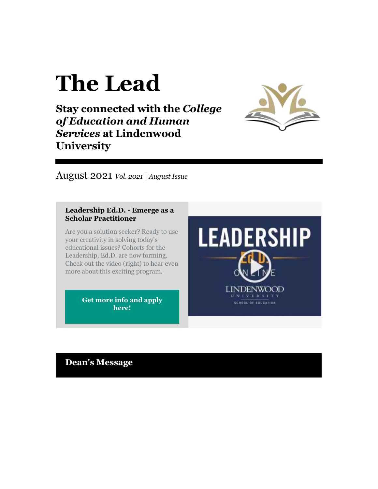# **The Lead**

**Stay connected with the** *College of Education and Human Services* **at Lindenwood University**



August 2021 *Vol. 2021 | August Issue*

#### **Leadership Ed.D. - Emerge as a Scholar Practitioner**

Are you a solution seeker? Ready to use your creativity in solving today's educational issues? Cohorts for the Leadership, Ed.D. are now forming. Check out the video (right) to hear even more about this exciting program.

> **[Get more info and apply](https://r20.rs6.net/tn.jsp?f=0014dGCOTcgcgJ3diy7ufpnH022CCQwXcGMOIDK8Pa8XLJKnNmqHZqNvdb5pBvhInffU0BA2hIHr-u5KHF8MorACOTUehHtaknWBeSlVbpB2Ldv7YiGr8EF4bD4b7hBN1c3taGMWMeVft_-EDBVUgjeJwXH7gP5Ss7Q-pyrvuBKwNzvyeGMIlUNrtO3-fRJliYrd_6KRsCp8d5kN-X3JwdzjiaN-dZ4-Jgg21zm2O3KnbP5kKKApxlfJDH08TAsZqrzyhDFW06c_d5totTYipu5nQ==&c=8JyNlurdLx_OkQRjsUrusyrDqm16rzNXUrOkQkeQovdGU-i-_91hoA==&ch=zOJyPsiGD7kJQnAvu6VNnfyS-d7y8VPpYJbZQD10NX55zkYkX0mpqQ==)  [here!](https://r20.rs6.net/tn.jsp?f=0014dGCOTcgcgJ3diy7ufpnH022CCQwXcGMOIDK8Pa8XLJKnNmqHZqNvdb5pBvhInffU0BA2hIHr-u5KHF8MorACOTUehHtaknWBeSlVbpB2Ldv7YiGr8EF4bD4b7hBN1c3taGMWMeVft_-EDBVUgjeJwXH7gP5Ss7Q-pyrvuBKwNzvyeGMIlUNrtO3-fRJliYrd_6KRsCp8d5kN-X3JwdzjiaN-dZ4-Jgg21zm2O3KnbP5kKKApxlfJDH08TAsZqrzyhDFW06c_d5totTYipu5nQ==&c=8JyNlurdLx_OkQRjsUrusyrDqm16rzNXUrOkQkeQovdGU-i-_91hoA==&ch=zOJyPsiGD7kJQnAvu6VNnfyS-d7y8VPpYJbZQD10NX55zkYkX0mpqQ==)**

**LEADERSHIP** LINDENWOOD UNIVERSITY SCHOOL OF EDUCATION

**Dean's Message**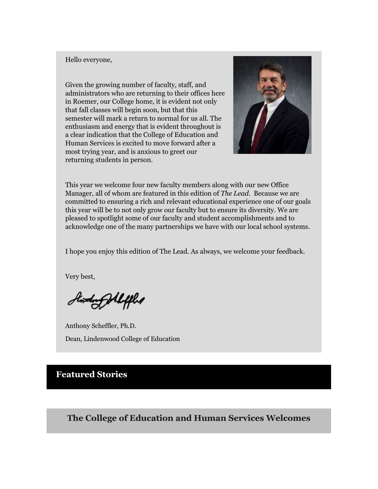#### Hello everyone,

Given the growing number of faculty, staff, and administrators who are returning to their offices here in Roemer, our College home, it is evident not only that fall classes will begin soon, but that this semester will mark a return to normal for us all. The enthusiasm and energy that is evident throughout is a clear indication that the College of Education and Human Services is excited to move forward after a most trying year, and is anxious to greet our returning students in person.



This year we welcome four new faculty members along with our new Office Manager, all of whom are featured in this edition of *The Lead*. Because we are committed to ensuring a rich and relevant educational experience one of our goals this year will be to not only grow our faculty but to ensure its diversity. We are pleased to spotlight some of our faculty and student accomplishments and to acknowledge one of the many partnerships we have with our local school systems.

I hope you enjoy this edition of The Lead. As always, we welcome your feedback.

Very best,

Stording Allifled

Anthony Scheffler, Ph.D. Dean, Lindenwood College of Education

## **Featured Stories**

**The College of Education and Human Services Welcomes**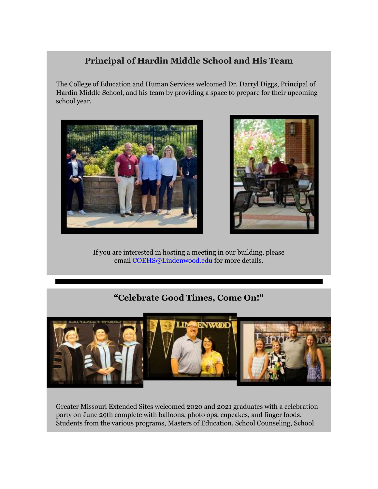# **Principal of Hardin Middle School and His Team**

The College of Education and Human Services welcomed Dr. Darryl Diggs, Principal of Hardin Middle School, and his team by providing a space to prepare for their upcoming school year.





If you are interested in hosting a meeting in our building, please email [COEHS@Lindenwood.edu](mailto:COEHS@Lindenwood.edu) for more details.

# **"Celebrate Good Times, Come On!"**



Greater Missouri Extended Sites welcomed 2020 and 2021 graduates with a celebration party on June 29th complete with balloons, photo ops, cupcakes, and finger foods. Students from the various programs, Masters of Education, School Counseling, School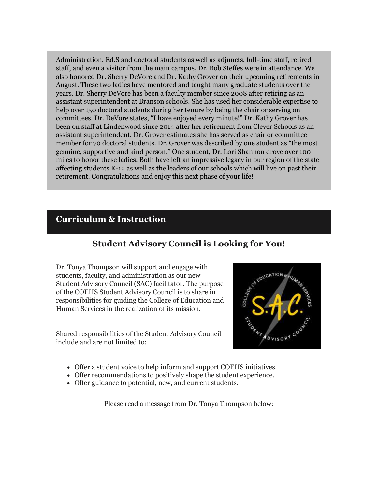Administration, Ed.S and doctoral students as well as adjuncts, full-time staff, retired staff, and even a visitor from the main campus, Dr. Bob Steffes were in attendance. We also honored Dr. Sherry DeVore and Dr. Kathy Grover on their upcoming retirements in August. These two ladies have mentored and taught many graduate students over the years. Dr. Sherry DeVore has been a faculty member since 2008 after retiring as an assistant superintendent at Branson schools. She has used her considerable expertise to help over 150 doctoral students during her tenure by being the chair or serving on committees. Dr. DeVore states, "I have enjoyed every minute!" Dr. Kathy Grover has been on staff at Lindenwood since 2014 after her retirement from Clever Schools as an assistant superintendent. Dr. Grover estimates she has served as chair or committee member for 70 doctoral students. Dr. Grover was described by one student as "the most genuine, supportive and kind person." One student, Dr. Lori Shannon drove over 100 miles to honor these ladies. Both have left an impressive legacy in our region of the state affecting students K-12 as well as the leaders of our schools which will live on past their retirement. Congratulations and enjoy this next phase of your life!

### **Curriculum & Instruction**

## **Student Advisory Council is Looking for You!**

Dr. Tonya Thompson will support and engage with students, faculty, and administration as our new Student Advisory Council (SAC) facilitator. The purpose of the COEHS Student Advisory Council is to share in responsibilities for guiding the College of Education and Human Services in the realization of its mission.

Shared responsibilities of the Student Advisory Council include and are not limited to:



- Offer a student voice to help inform and support COEHS initiatives.
- Offer recommendations to positively shape the student experience.
- Offer guidance to potential, new, and current students.

Please read a message from Dr. Tonya Thompson below: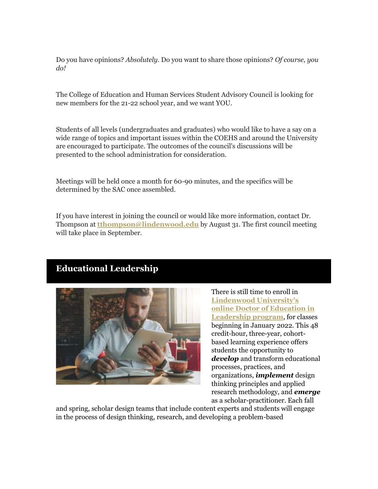Do you have opinions? *Absolutely.* Do you want to share those opinions? *Of course, you do!*

The College of Education and Human Services Student Advisory Council is looking for new members for the 21-22 school year, and we want YOU.

Students of all levels (undergraduates and graduates) who would like to have a say on a wide range of topics and important issues within the COEHS and around the University are encouraged to participate. The outcomes of the council's discussions will be presented to the school administration for consideration.

Meetings will be held once a month for 60-90 minutes, and the specifics will be determined by the SAC once assembled.

If you have interest in joining the council or would like more information, contact Dr. Thompson at **[tthompson@lindenwood.edu](mailto:tthompson@lindenwood.edu)** by August 31. The first council meeting will take place in September.

# **Educational Leadership**



There is still time to enroll in **[Lindenwood University's](https://r20.rs6.net/tn.jsp?f=0014dGCOTcgcgJ3diy7ufpnH022CCQwXcGMOIDK8Pa8XLJKnNmqHZqNvWWKAHwPx_OsNJPsh1HJ6Sk6OQnUB781wElPsB7Q0nFWLkzK2vSWGc7K0bCtWXL6wJHjoNOfjUYW3MwG5If34dAfv0PTpnXafdQMLLQW6CaIGc9XpXI_bEgv1Ah5uvCWNKszUmBzH7_wUXeYS2tcvxQvNNZqZqTgaLZ_nbpPflG4&c=8JyNlurdLx_OkQRjsUrusyrDqm16rzNXUrOkQkeQovdGU-i-_91hoA==&ch=zOJyPsiGD7kJQnAvu6VNnfyS-d7y8VPpYJbZQD10NX55zkYkX0mpqQ==)  [online Doctor of Education in](https://r20.rs6.net/tn.jsp?f=0014dGCOTcgcgJ3diy7ufpnH022CCQwXcGMOIDK8Pa8XLJKnNmqHZqNvWWKAHwPx_OsNJPsh1HJ6Sk6OQnUB781wElPsB7Q0nFWLkzK2vSWGc7K0bCtWXL6wJHjoNOfjUYW3MwG5If34dAfv0PTpnXafdQMLLQW6CaIGc9XpXI_bEgv1Ah5uvCWNKszUmBzH7_wUXeYS2tcvxQvNNZqZqTgaLZ_nbpPflG4&c=8JyNlurdLx_OkQRjsUrusyrDqm16rzNXUrOkQkeQovdGU-i-_91hoA==&ch=zOJyPsiGD7kJQnAvu6VNnfyS-d7y8VPpYJbZQD10NX55zkYkX0mpqQ==)  [Leadership program](https://r20.rs6.net/tn.jsp?f=0014dGCOTcgcgJ3diy7ufpnH022CCQwXcGMOIDK8Pa8XLJKnNmqHZqNvWWKAHwPx_OsNJPsh1HJ6Sk6OQnUB781wElPsB7Q0nFWLkzK2vSWGc7K0bCtWXL6wJHjoNOfjUYW3MwG5If34dAfv0PTpnXafdQMLLQW6CaIGc9XpXI_bEgv1Ah5uvCWNKszUmBzH7_wUXeYS2tcvxQvNNZqZqTgaLZ_nbpPflG4&c=8JyNlurdLx_OkQRjsUrusyrDqm16rzNXUrOkQkeQovdGU-i-_91hoA==&ch=zOJyPsiGD7kJQnAvu6VNnfyS-d7y8VPpYJbZQD10NX55zkYkX0mpqQ==)**, for classes beginning in January 2022. This 48 credit-hour, three-year, cohortbased learning experience offers students the opportunity to *develop* and transform educational processes, practices, and organizations, *implement* design thinking principles and applied research methodology, and *emerge*  as a scholar-practitioner. Each fall

and spring, scholar design teams that include content experts and students will engage in the process of design thinking, research, and developing a problem-based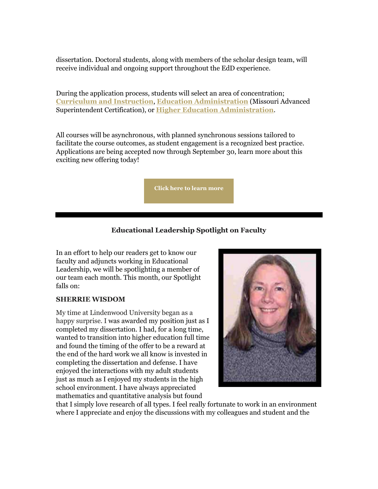dissertation. Doctoral students, along with members of the scholar design team, will receive individual and ongoing support throughout the EdD experience.

During the application process, students will select an area of concentration; **[Curriculum and Instruction](https://r20.rs6.net/tn.jsp?f=0014dGCOTcgcgJ3diy7ufpnH022CCQwXcGMOIDK8Pa8XLJKnNmqHZqNvWWKAHwPx_Os-siiKl6cg6Y7gjtyzgXp1Z94cRuhUZMoPZwP3qK8SHhAr2Fru_tKyCdIuzpJr-EGxDWAvXJaTXN5VyXuaw_4ld18lMJLs7RqagW93D2xkkLFxCbxO-iouuNOqfmEnMZyO0CMZ_yYI6Vs8K-N-HP9yw8F6q9TEgM0Y6JLOkqbC4FHHSAvqhu0QMOhZTgs6vglmtwVgat-oAjSCPhdBQEDReZOiT0NJ-a0nH4hQYqUuO0=&c=8JyNlurdLx_OkQRjsUrusyrDqm16rzNXUrOkQkeQovdGU-i-_91hoA==&ch=zOJyPsiGD7kJQnAvu6VNnfyS-d7y8VPpYJbZQD10NX55zkYkX0mpqQ==)**, **[Education Administration](https://r20.rs6.net/tn.jsp?f=0014dGCOTcgcgJ3diy7ufpnH022CCQwXcGMOIDK8Pa8XLJKnNmqHZqNvWWKAHwPx_Os9BwHX9G4ym5Pc0gnLcin9s1-cuZxdIu_wCBYEm_VPrvKqE2C4qwO_KGA9o9uA0tp9De_ZC4rF7J-9ySohgUTf6sZeDbgM4UKLtFgRJ3I8RhsTXOZxuzC0QejopmbKK35aeNC7a0WIh6Vhsoqlyh7VX7cLjGPjxPYTr3O-Sz8lkHdVxfKkEgB-VOQ33V-FQaL0QATsxT4Wh-FULsyMMIaKKV04XJgrjJ8luuzF0CMh6Y=&c=8JyNlurdLx_OkQRjsUrusyrDqm16rzNXUrOkQkeQovdGU-i-_91hoA==&ch=zOJyPsiGD7kJQnAvu6VNnfyS-d7y8VPpYJbZQD10NX55zkYkX0mpqQ==)** (Missouri Advanced Superintendent Certification), or **[Higher Education Administration](https://r20.rs6.net/tn.jsp?f=0014dGCOTcgcgJ3diy7ufpnH022CCQwXcGMOIDK8Pa8XLJKnNmqHZqNvWWKAHwPx_OsbWSgcXu-esDZ5YU71nooJ5f8JjQ8T1QkWZ5fc5bxj1nfs3DLz-y-sHRQK5MphwrofqA4LHvb30o2WINckbm1oH7nJ_XiRdkXxiyQJSWXN8sGgzS2_8GgNRpGTMPDQZV6xW9xhZpoy_Td5d-v1lNl8TdOD6h_QpEIiukHEIuN2VcklIaf1LC3AkezanJiCELU4wRs76rD_2G0lO2bpLZjSq2sAlOAIkBiP7XP6QVzijjMxQcXaB4Adw==&c=8JyNlurdLx_OkQRjsUrusyrDqm16rzNXUrOkQkeQovdGU-i-_91hoA==&ch=zOJyPsiGD7kJQnAvu6VNnfyS-d7y8VPpYJbZQD10NX55zkYkX0mpqQ==)**.

All courses will be asynchronous, with planned synchronous sessions tailored to facilitate the course outcomes, as student engagement is a recognized best practice. Applications are being accepted now through September 30, learn more about this exciting new offering today!

**[Click here to learn more](https://r20.rs6.net/tn.jsp?f=0014dGCOTcgcgJ3diy7ufpnH022CCQwXcGMOIDK8Pa8XLJKnNmqHZqNvWWKAHwPx_OsNJPsh1HJ6Sk6OQnUB781wElPsB7Q0nFWLkzK2vSWGc7K0bCtWXL6wJHjoNOfjUYW3MwG5If34dAfv0PTpnXafdQMLLQW6CaIGc9XpXI_bEgv1Ah5uvCWNKszUmBzH7_wUXeYS2tcvxQvNNZqZqTgaLZ_nbpPflG4&c=8JyNlurdLx_OkQRjsUrusyrDqm16rzNXUrOkQkeQovdGU-i-_91hoA==&ch=zOJyPsiGD7kJQnAvu6VNnfyS-d7y8VPpYJbZQD10NX55zkYkX0mpqQ==)**

#### **Educational Leadership Spotlight on Faculty**

In an effort to help our readers get to know our faculty and adjuncts working in Educational Leadership, we will be spotlighting a member of our team each month. This month, our Spotlight falls on:

#### **SHERRIE WISDOM**

My time at Lindenwood University began as a happy surprise. I was awarded my position just as I completed my dissertation. I had, for a long time, wanted to transition into higher education full time and found the timing of the offer to be a reward at the end of the hard work we all know is invested in completing the dissertation and defense. I have enjoyed the interactions with my adult students just as much as I enjoyed my students in the high school environment. I have always appreciated mathematics and quantitative analysis but found



that I simply love research of all types. I feel really fortunate to work in an environment where I appreciate and enjoy the discussions with my colleagues and student and the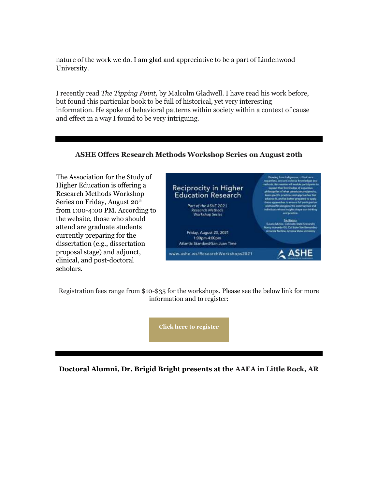nature of the work we do. I am glad and appreciative to be a part of Lindenwood University.

I recently read *The Tipping Point,* by Malcolm Gladwell. I have read his work before, but found this particular book to be full of historical, yet very interesting information. He spoke of behavioral patterns within society within a context of cause and effect in a way I found to be very intriguing.

#### **ASHE Offers Research Methods Workshop Series on August 20th**

The Association for the Study of Higher Education is offering a Research Methods Workshop Series on Friday, August 20<sup>th</sup> from 1:00-4:00 PM. According to the website, those who should attend are graduate students currently preparing for the dissertation (e.g., dissertation proposal stage) and adjunct, clinical, and post-doctoral scholars.



Registration fees range from \$10-\$35 for the workshops. Please see the below link for more information and to register:

**[Click here to register](https://r20.rs6.net/tn.jsp?f=0014dGCOTcgcgJ3diy7ufpnH022CCQwXcGMOIDK8Pa8XLJKnNmqHZqNvWWKAHwPx_OsMmYO1iiSO9vnB3jEIS37XUkis9vMgXlXYPgZejMo8xsacnzw-sANSiLDIzVitTkQNqLqUP8uQ7ryCYfmgW_lEK6uDHvnCmLKWh8FF5nUClo=&c=8JyNlurdLx_OkQRjsUrusyrDqm16rzNXUrOkQkeQovdGU-i-_91hoA==&ch=zOJyPsiGD7kJQnAvu6VNnfyS-d7y8VPpYJbZQD10NX55zkYkX0mpqQ==)**

**Doctoral Alumni, Dr. Brigid Bright presents at the AAEA in Little Rock, AR**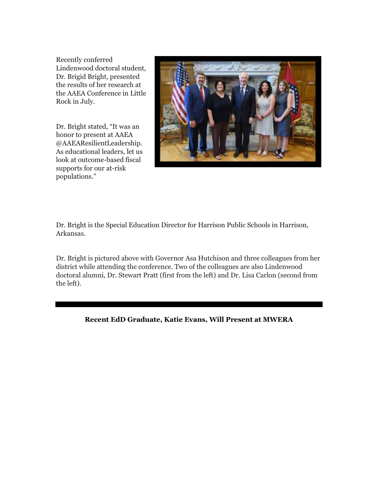Recently conferred Lindenwood doctoral student, Dr. Brigid Bright, presented the results of her research at the AAEA Conference in Little Rock in July.

Dr. Bright stated, "It was an honor to present at AAEA @AAEAResilientLeadership. As educational leaders, let us look at outcome-based fiscal supports for our at-risk populations."



Dr. Bright is the Special Education Director for Harrison Public Schools in Harrison, Arkansas.

Dr. Bright is pictured above with Governor Asa Hutchison and three colleagues from her district while attending the conference. Two of the colleagues are also Lindenwood doctoral alumni, Dr. Stewart Pratt (first from the left) and Dr. Lisa Carlon (second from the left).

#### **Recent EdD Graduate, Katie Evans, Will Present at MWERA**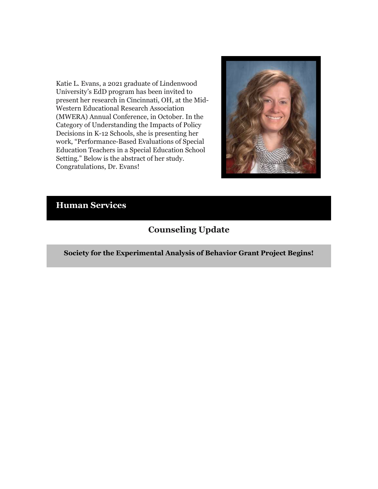Katie L. Evans, a 2021 graduate of Lindenwood University's EdD program has been invited to present her research in Cincinnati, OH, at the Mid-Western Educational Research Association (MWERA) Annual Conference, in October. In the Category of Understanding the Impacts of Policy Decisions in K-12 Schools, she is presenting her work, "Performance-Based Evaluations of Special Education Teachers in a Special Education School Setting." Below is the abstract of her study. Congratulations, Dr. Evans!



# **Human Services**

# **Counseling Update**

**Society for the Experimental Analysis of Behavior Grant Project Begins!**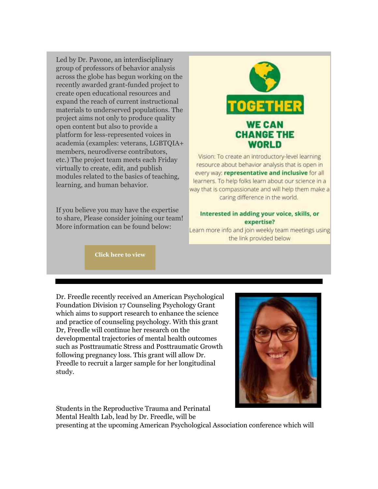Led by Dr. Pavone, an interdisciplinary group of professors of behavior analysis across the globe has begun working on the recently awarded grant-funded project to create open educational resources and expand the reach of current instructional materials to underserved populations. The project aims not only to produce quality open content but also to provide a platform for less-represented voices in academia (examples: veterans, LGBTQIA+ members, neurodiverse contributors, etc.) The project team meets each Friday virtually to create, edit, and publish modules related to the basics of teaching, learning, and human behavior.

If you believe you may have the expertise to share, Please consider joining our team! More information can be found below:



Vision: To create an introductory-level learning resource about behavior analysis that is open in every way: representative and inclusive for all learners. To help folks learn about our science in a way that is compassionate and will help them make a caring difference in the world.

#### Interested in adding your voice, skills, or expertise?

Learn more info and join weekly team meetings using the link provided below

**[Click here to view](https://r20.rs6.net/tn.jsp?f=0014dGCOTcgcgJ3diy7ufpnH022CCQwXcGMOIDK8Pa8XLJKnNmqHZqNvWWKAHwPx_OsoHlB6tkv_pMKtfGvTLUqyXhYA-l4Ege4ocvLbqh6bQUS8igidtOxqesZ82Cn9DmJFEhPp6KHAuZllMYyvKKF3iCbK0yZMdhZ65wjoYNcZTMdQSih-8X9jVMhefyP5h0qhEiyeJrB9AaFv7N8V1VWcRqmBv3XSeFc8krU0aXiEvopZY0H3kW3qIrOjqBwXZTPY7M7EPgM3Hnb3KK31o91n0caCAUOIXH-XAC_3q9Ss-hRG3s4MJCW2VeLo2Pt7r-kNKPbl9WS1STauvODOTJiNqLBVdxr178ubcA-CvMWz5jeEzp9U5MRdhfiVaRZ82C6zm8Lg9az9BcD8hV_GY0v67Lz2oDN2ZWpAo93lFD5UWHojpvyGXH_vjRbfOavUwQOMqDYjDEZY6k=&c=8JyNlurdLx_OkQRjsUrusyrDqm16rzNXUrOkQkeQovdGU-i-_91hoA==&ch=zOJyPsiGD7kJQnAvu6VNnfyS-d7y8VPpYJbZQD10NX55zkYkX0mpqQ==)**

Dr. Freedle recently received an American Psychological Foundation Division 17 Counseling Psychology Grant which aims to support research to enhance the science and practice of counseling psychology. With this grant Dr, Freedle will continue her research on the developmental trajectories of mental health outcomes such as Posttraumatic Stress and Posttraumatic Growth following pregnancy loss. This grant will allow Dr. Freedle to recruit a larger sample for her longitudinal study.



Students in the Reproductive Trauma and Perinatal

Mental Health Lab, lead by Dr. Freedle, will be

presenting at the upcoming American Psychological Association conference which will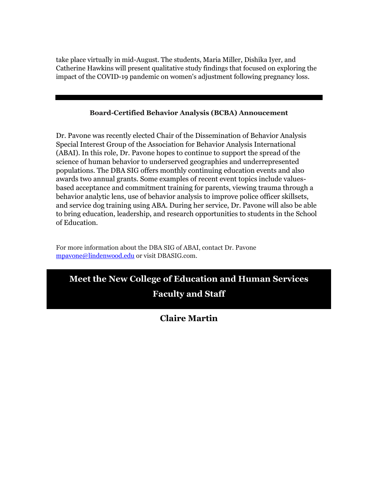take place virtually in mid-August. The students, Maria Miller, Dishika Iyer, and Catherine Hawkins will present qualitative study findings that focused on exploring the impact of the COVID-19 pandemic on women's adjustment following pregnancy loss.

#### **Board-Certified Behavior Analysis (BCBA) Annoucement**

Dr. Pavone was recently elected Chair of the Dissemination of Behavior Analysis Special Interest Group of the Association for Behavior Analysis International (ABAI). In this role, Dr. Pavone hopes to continue to support the spread of the science of human behavior to underserved geographies and underrepresented populations. The DBA SIG offers monthly continuing education events and also awards two annual grants. Some examples of recent event topics include valuesbased acceptance and commitment training for parents, viewing trauma through a behavior analytic lens, use of behavior analysis to improve police officer skillsets, and service dog training using ABA. During her service, Dr. Pavone will also be able to bring education, leadership, and research opportunities to students in the School of Education.

For more information about the DBA SIG of ABAI, contact Dr. Pavone [mpavone@lindenwood.edu](mailto:mpavone@lindenwood.edu) or visit DBASIG.com.

## **Meet the New College of Education and Human Services**

## **Faculty and Staff**

# **Claire Martin**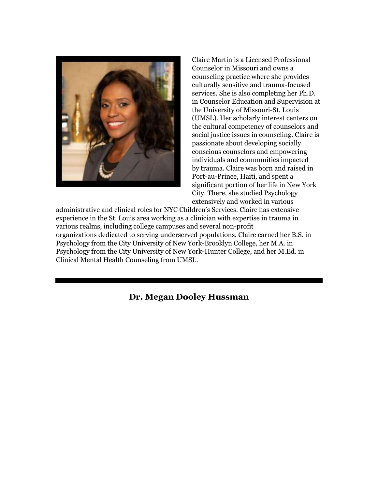

Claire Martin is a Licensed Professional Counselor in Missouri and owns a counseling practice where she provides culturally sensitive and trauma-focused services. She is also completing her Ph.D. in Counselor Education and Supervision at the University of Missouri-St. Louis (UMSL). Her scholarly interest centers on the cultural competency of counselors and social justice issues in counseling. Claire is passionate about developing socially conscious counselors and empowering individuals and communities impacted by trauma. Claire was born and raised in Port-au-Prince, Haiti, and spent a significant portion of her life in New York City. There, she studied Psychology extensively and worked in various

administrative and clinical roles for NYC Children's Services. Claire has extensive experience in the St. Louis area working as a clinician with expertise in trauma in various realms, including college campuses and several non-profit organizations dedicated to serving underserved populations. Claire earned her B.S. in Psychology from the City University of New York-Brooklyn College, her M.A. in Psychology from the City University of New York-Hunter College, and her M.Ed. in Clinical Mental Health Counseling from UMSL.

**Dr. Megan Dooley Hussman**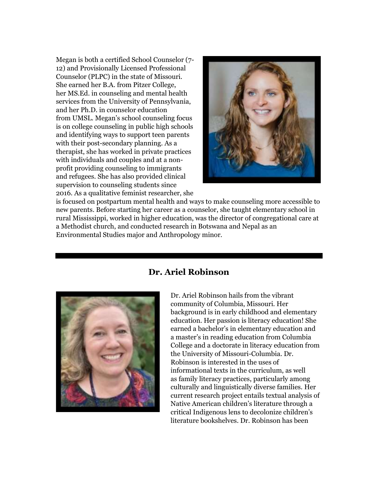Megan is both a certified School Counselor (7- 12) and Provisionally Licensed Professional Counselor (PLPC) in the state of Missouri. She earned her B.A. from Pitzer College, her MS.Ed. in counseling and mental health services from the University of Pennsylvania, and her Ph.D. in counselor education from UMSL. Megan's school counseling focus is on college counseling in public high schools and identifying ways to support teen parents with their post-secondary planning. As a therapist, she has worked in private practices with individuals and couples and at a nonprofit providing counseling to immigrants and refugees. She has also provided clinical supervision to counseling students since 2016. As a qualitative feminist researcher, she



is focused on postpartum mental health and ways to make counseling more accessible to new parents. Before starting her career as a counselor, she taught elementary school in rural Mississippi, worked in higher education, was the director of congregational care at a Methodist church, and conducted research in Botswana and Nepal as an Environmental Studies major and Anthropology minor.



## **Dr. Ariel Robinson**

Dr. Ariel Robinson hails from the vibrant community of Columbia, Missouri. Her background is in early childhood and elementary education. Her passion is literacy education! She earned a bachelor's in elementary education and a master's in reading education from Columbia College and a doctorate in literacy education from the University of Missouri-Columbia. Dr. Robinson is interested in the uses of informational texts in the curriculum, as well as family literacy practices, particularly among culturally and linguistically diverse families. Her current research project entails textual analysis of Native American children's literature through a critical Indigenous lens to decolonize children's literature bookshelves. Dr. Robinson has been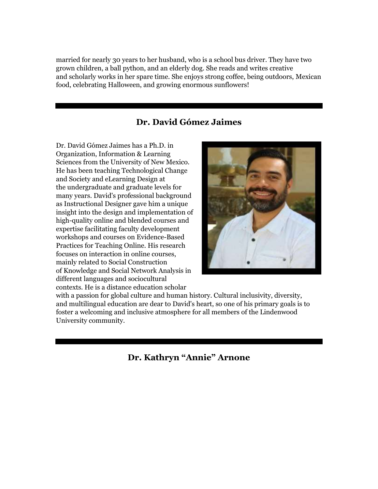married for nearly 30 years to her husband, who is a school bus driver. They have two grown children, a ball python, and an elderly dog. She reads and writes creative and scholarly works in her spare time. She enjoys strong coffee, being outdoors, Mexican food, celebrating Halloween, and growing enormous sunflowers!

## **Dr. David Gómez Jaimes**

Dr. David Gómez Jaimes has a Ph.D. in Organization, Information & Learning Sciences from the University of New Mexico. He has been teaching Technological Change and Society and eLearning Design at the undergraduate and graduate levels for many years. David's professional background as Instructional Designer gave him a unique insight into the design and implementation of high-quality online and blended courses and expertise facilitating faculty development workshops and courses on Evidence-Based Practices for Teaching Online. His research focuses on interaction in online courses, mainly related to Social Construction of Knowledge and Social Network Analysis in different languages and sociocultural contexts. He is a distance education scholar



with a passion for global culture and human history. Cultural inclusivity, diversity, and multilingual education are dear to David's heart, so one of his primary goals is to foster a welcoming and inclusive atmosphere for all members of the Lindenwood University community.

**Dr. Kathryn "Annie" Arnone**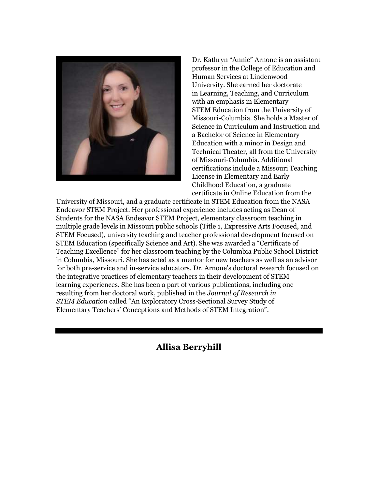

Dr. Kathryn "Annie" Arnone is an assistant professor in the College of Education and Human Services at Lindenwood University. She earned her doctorate in Learning, Teaching, and Curriculum with an emphasis in Elementary STEM Education from the University of Missouri-Columbia. She holds a Master of Science in Curriculum and Instruction and a Bachelor of Science in Elementary Education with a minor in Design and Technical Theater, all from the University of Missouri-Columbia. Additional certifications include a Missouri Teaching License in Elementary and Early Childhood Education, a graduate certificate in Online Education from the

University of Missouri, and a graduate certificate in STEM Education from the NASA Endeavor STEM Project. Her professional experience includes acting as Dean of Students for the NASA Endeavor STEM Project, elementary classroom teaching in multiple grade levels in Missouri public schools (Title 1, Expressive Arts Focused, and STEM Focused), university teaching and teacher professional development focused on STEM Education (specifically Science and Art). She was awarded a "Certificate of Teaching Excellence" for her classroom teaching by the Columbia Public School District in Columbia, Missouri. She has acted as a mentor for new teachers as well as an advisor for both pre-service and in-service educators. Dr. Arnone's doctoral research focused on the integrative practices of elementary teachers in their development of STEM learning experiences. She has been a part of various publications, including one resulting from her doctoral work, published in the *Journal of Research in STEM Education* called "An Exploratory Cross-Sectional Survey Study of Elementary Teachers' Conceptions and Methods of STEM Integration".

**Allisa Berryhill**